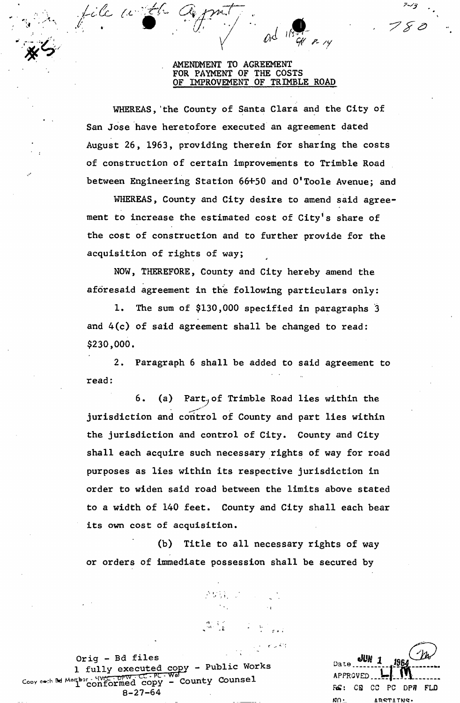#### **AMENDMENT TO AGREEMENT FOR PAYMENT OF THE COSTS OF IMPROVEMENT OF TRIMBLE ROAD**

 $ad$  18

*W s-* / /

 $80$ 

WHEREAS, the County of Santa Clara and the City of San Jose have heretofore executed an agreement dated August 26, 1963, providing therein for sharing the costs of construction of certain improvements to Trimble Road between Engineering Station 66+50 and O'Toole Avenue; and

file with

WHEREAS, County and City desire to amend said agreement to increase the estimated cost of City's share of the cost of construction and to further provide for the acquisition of rights of way;

NOW, THEREFORE, County and City hereby amend the aforesaid agreement in the following particulars only:

1. The sum of \$130,000 specified in paragraphs 3 and 4(c) of said agreement shall be changed to read: \$230,000.

2. Paragraph 6 shall be added to said agreement to read:

6. (a) Part, of Trimble Road lies within the jurisdiction and control of County and part lies within the jurisdiction and control of City. County and City shall each acquire such necessary rights of way for road purposes as lies within its respective jurisdiction in order to widen said road between the limits above stated to a width of 140 feet. County and City shall each bear its own cost of acquisition.

(b) Title to all necessary rights of way or orders of immediate possession shall be secured by

 $\mathcal{M}(\mathcal{G})$  , where  $\mathcal{G}$ 

Orig - **Bd** files " ' JUW ^ Miu^ ^ NΩ STATMC:

1 fully executed copy - Public Works **Public Public Public Public Public**  $\frac{1}{2}$ o - - *^S^OT^^ y* counssx « ™ 8-27-64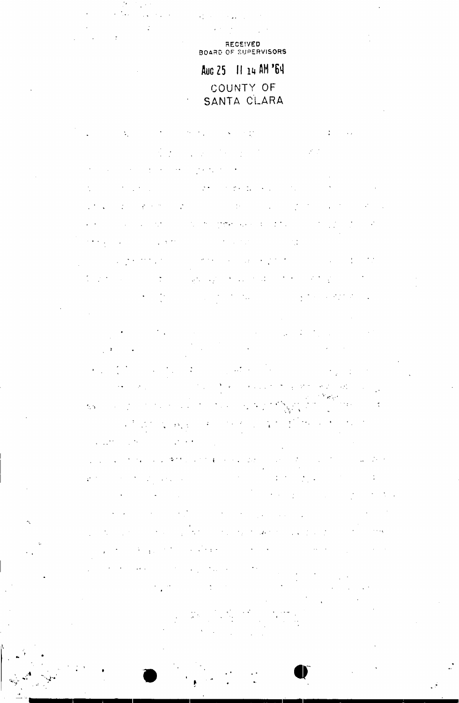RECEIVED BOARD OF SUPERVISORS Aug 25 11 14 AM '64 COUNTY OF SANTA CLARA

 $\mathcal{L}^{\text{max}}_{\text{max}}$  and  $\mathcal{L}^{\text{max}}_{\text{max}}$  $\sim 10^6$  $\mathcal{L}_1$  $\alpha_{\rm eff} = \alpha_{\rm eff}$  $\sim$   $\sim$   $\mu$  $\label{eq:2.1} \frac{1}{2} \sum_{i=1}^n \frac{1}{2} \sum_{i=1}^n \frac{1}{2} \sum_{i=1}^n \frac{1}{2} \sum_{i=1}^n \frac{1}{2} \sum_{i=1}^n \frac{1}{2} \sum_{i=1}^n \frac{1}{2} \sum_{i=1}^n \frac{1}{2} \sum_{i=1}^n \frac{1}{2} \sum_{i=1}^n \frac{1}{2} \sum_{i=1}^n \frac{1}{2} \sum_{i=1}^n \frac{1}{2} \sum_{i=1}^n \frac{1}{2} \sum_{i=1}^n \frac{$ 

 $\mathcal{L}_{\text{max}}$ 

 $\sim$   $\star$ 

 $\overline{\phantom{a}}$ 

Ń,  $\mathbb{R}^{\mathbb{Z}}$  $-1.24 - 1.1$  $\sim 10$  $\mu \rightarrow 0$  $\mathcal{L}^{\text{max}}$  and  $\mathcal{L}^{\text{max}}$  $\hat{\boldsymbol{\epsilon}}_t$  $\sum_{i=1}^n\sum_{j=1}^n\sum_{j=1}^n\sum_{j=1}^n\sum_{j=1}^n\sum_{j=1}^n\sum_{j=1}^n\sum_{j=1}^n\sum_{j=1}^n\sum_{j=1}^n\sum_{j=1}^n\sum_{j=1}^n\sum_{j=1}^n\sum_{j=1}^n\sum_{j=1}^n\sum_{j=1}^n\sum_{j=1}^n\sum_{j=1}^n\sum_{j=1}^n\sum_{j=1}^n\sum_{j=1}^n\sum_{j=1}^n\sum_{j=1}^n\sum_{j=1}^n\sum_{j$  $\widetilde{\mathbb{C}}$  $\mathcal{F}(\mathcal{F})$  $\frac{1}{\sqrt{2}}$  $\frac{1}{2}$ 

 $\epsilon$  ).  $\frac{1}{4}$  $\alpha\rightarrow\infty$  $\sim 1$  $\mathcal{L}_{\mathcal{A}}$  $\mathcal{F}^{\mathcal{A}}$  $\ddot{\cdot}$  $\frac{1}{2}$  $\ddot{\phantom{a}}$  $\mathcal{A} \subset \mathcal{A}$  $\sim$  $\mathcal{L}^{\text{max}}_{\text{max}}$  $\mathcal{L}_{\mathcal{A}}$  $\mathcal{O}(\mathcal{O})$ ΥÎ

 $\ddot{\phantom{1}}$  $\ddot{\cdot}$  $\mathcal{F}_\mathrm{c}$  is t p  $\ddot{\cdot}$  $\mathcal{L}^{\text{max}}$  $\alpha$  ,  $\alpha$  ,  $\alpha$  ,  $\alpha$  $\sim$  $\mathcal{I} \subset \mathbb{R}^n$  $\sim 10^{-10}$  $\frac{1}{4}$  $\frac{1}{2}$  $\mathbb{R}^2$  $\bar{\boldsymbol{\beta}}$ 

 $\mathcal{L}^{\mathcal{L}}$  $\frac{1}{2}$  .  $\frac{1}{2}$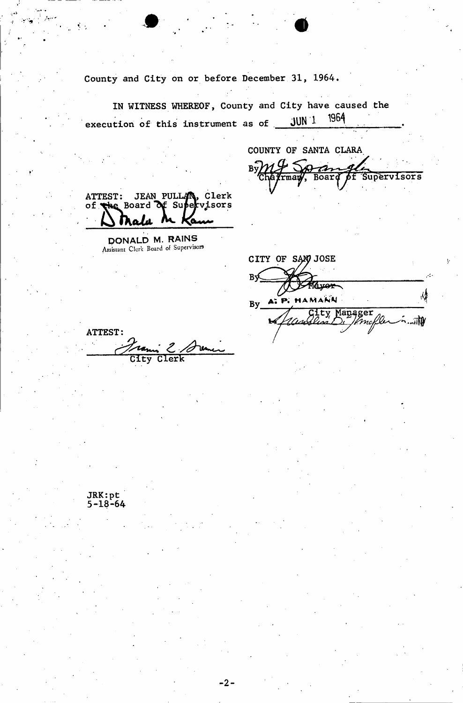County and City on or before December 31, 1964.

IN WITNESS WHEREOF, County and City have caused the 1964 execution of this instrument as of JUN 1

 $-2-$ 

COUNTY OF SANTA CLARA

 $m\mathcal{F}$ By, Z) t 2-ΞŦ **Supervisors** Boar rmaı

ATTEST: JEAN PULLAN, Clerk of the Board of Supervisors

**DONALD M. RAINS** Assistant Clerk Board of Supervisors

CITY OF SAM JOSE Bу∕. **Avor** 42 By A: P. MAMANN Gity Manager mcfle ..iM}

ATTEST: City Clerk

JRK:pt 5-18-64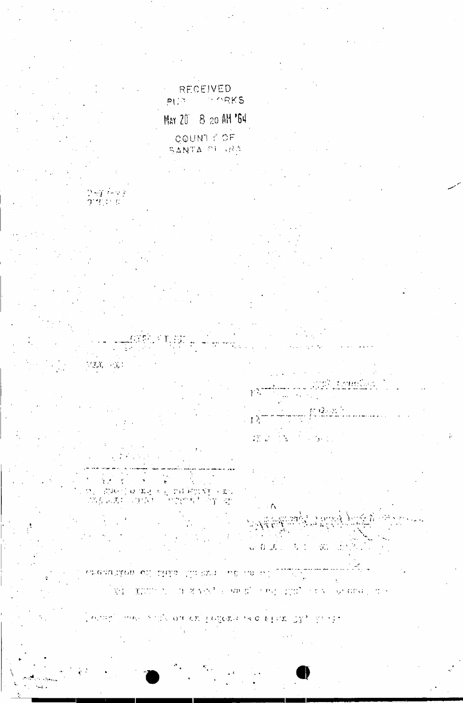REGEIVED PUA PRES MAY 20 8 20 AM '64

COUNT TOF SANTA SI HA

 $\mathcal{C}=\mathcal{C}$  , where  $\mathcal{C}$  ,

 $\mathcal{T}^*U$  is the  $U$ 

 $\mathbb{M}(\mathbb{R}^d) \to \mathbb{R}^{d+1}$ 

 $\mathop{\mathrm{supp}}\nolimits_{\mathop{\mathrm{supp}}\nolimits} \mathop{\mathrm{supp}}\nolimits_{\mathop{\mathrm{supp}}\nolimits} \mathop{\mathrm{supp}}\nolimits_{\mathop{\mathrm{supp}}\nolimits} \mathop{\mathrm{supp}}\nolimits_{\mathop{\mathrm{supp}}\nolimits} \mathop{\mathrm{supp}}\nolimits_{\mathop{\mathrm{supp}}\nolimits} \mathop{\mathrm{supp}}\nolimits_{\mathop{\mathrm{supp}}\nolimits} \mathop{\mathrm{supp}}\nolimits_{\mathop{\mathrm{supp}}\nolimits} \mathop{\mathrm{supp}}\nolimits_{\mathop{\mathrm{supp}}\$  $\langle Q \rangle$  ,  $\Sigma$  of  $\langle \beta \rangle$ 一 身 深

 $\text{stacking in } \mathcal{L}(\mathcal{L}) \text{ is a finite, and } \mathcal{L}(\mathcal{L}) \text{ is a finite.}$ 

 $\frac{1}{2}$ 

TERRITA CONSTRUCTION

WARTH SAL  $\sum_{\alpha\in\mathcal{M}}\sum_{\alpha\in\mathcal{M}}\sum_{\alpha\in\mathcal{M}}\sum_{\alpha\in\mathcal{M}}\sum_{\alpha\in\mathcal{M}}\sum_{\alpha\in\mathcal{M}}\sum_{\alpha\in\mathcal{M}}\sum_{\alpha\in\mathcal{M}}\sum_{\alpha\in\mathcal{M}}\sum_{\alpha\in\mathcal{M}}\sum_{\alpha\in\mathcal{M}}\sum_{\alpha\in\mathcal{M}}\sum_{\alpha\in\mathcal{M}}\sum_{\alpha\in\mathcal{M}}\sum_{\alpha\in\mathcal{M}}\sum_{\alpha\in\mathcal{M}}\sum_{\alpha\in\mathcal{M$  $\mathcal{Q}(\{0,\sqrt{b}\})=\mathcal{Q}(\mathcal{V})=\mathcal{Q}(\mathcal{V})=\mathcal{Q}(\mathcal{V})=\mathcal{P}(\mathcal{V})=\mathcal{P}(\mathcal{V})$ 

 $\label{eq:10} \mathcal{V}^{2, \frac{1}{2}, \frac{1}{2}, \frac{1}{2}, \ldots, \frac{1}{2}, \frac{1}{2}, \frac{1}{2}, \frac{1}{2}, \frac{1}{2}, \frac{1}{2}, \frac{1}{2}, \frac{1}{2}, \frac{1}{2}, \frac{1}{2}, \frac{1}{2}, \frac{1}{2}, \frac{1}{2}, \frac{1}{2}, \frac{1}{2}, \frac{1}{2}, \frac{1}{2}, \frac{1}{2}, \frac{1}{2}, \frac{1}{2}, \frac{1}{2}, \frac{1}{2}, \frac{1}{2}, \frac{1}{2}, \frac{1}{2}, \frac{$ 

 $\sum_{i=1}^{n} \frac{1}{n} \sum_{i=1}^{n} \frac{1}{n}$ 

 $\frac{1}{2}$  which is a state of the state  $\frac{1}{2}$  ,  $\frac{1}{2}$  ,  $\frac{1}{2}$  ,  $\frac{1}{2}$  ,  $\frac{1}{2}$  ,  $\frac{1}{2}$  ,  $\frac{1}{2}$  ,  $\frac{1}{2}$ 

jesaš, ume vide od crijenjena neo rijer Cl., ki ili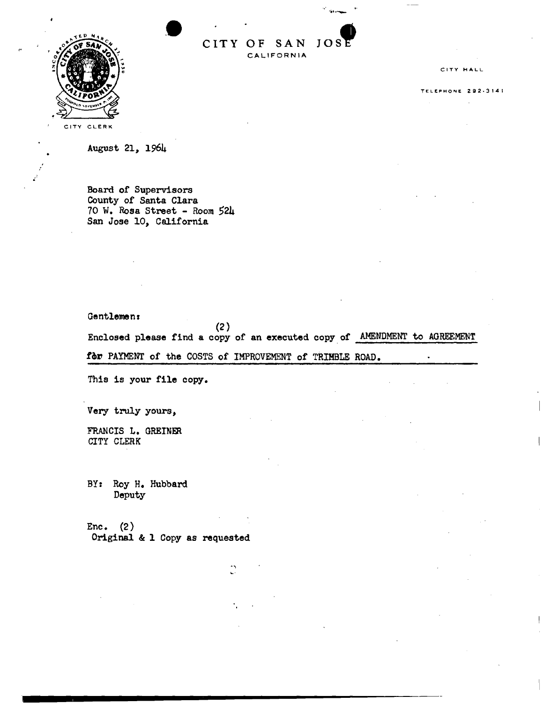



CITY HALL

TELEPHONE 292.3141

CITY CLER

August 21, 1*96k* 

Board of Supervisors County of Santa Clara 70 W. Rosa Street - Room 52U San Jose 10, California

Gentlemen:

Enclosed please find a copy of an executed copy of AMENDMENT to AGREEMENT **f&P** PAYMENT of the COSTS of IMPROVEMENT of TRIHBLE ROAD, • **(2)** 

This is your file copy.

Very truly yours,

FRANCIS L. GREINER CITY CLERK

BY: Roy H. Hubbard Deputy

Enc.  $(2)$ Original & 1 Copy as requested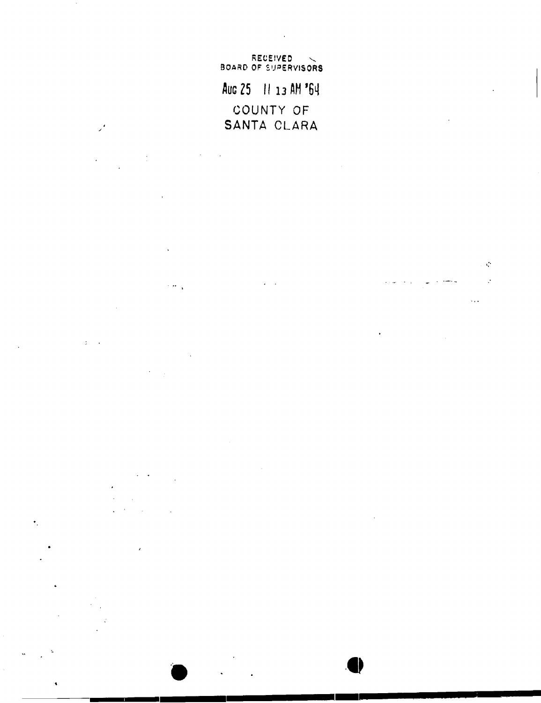RECEIVED VARIABLE RECEIVED

# Aug 25 11 13 AM '64

# COUNTY OF SANTA CLARA

 $\mathbb{R}^2$ 

 $\tilde{z}$ 

 $\ddot{\phantom{a}}$ 

Ç, بالمساء  $\mathbb{Z}^2$  $\ddotsc$ 

 $\hat{Q}^{\dagger}$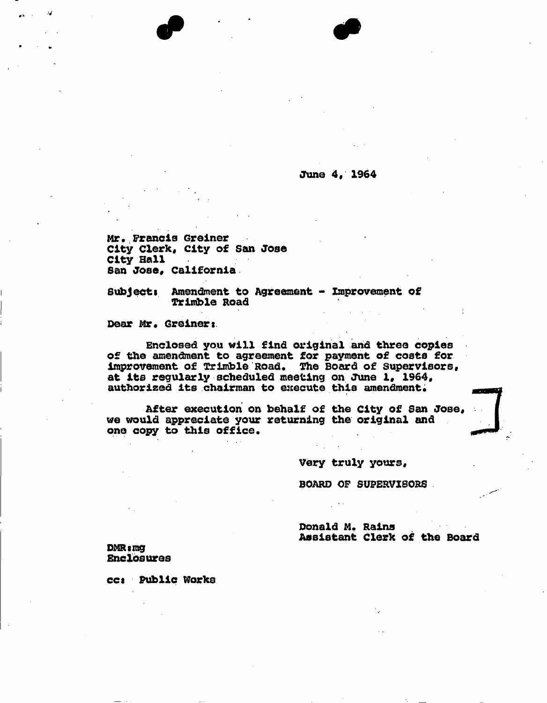**June 4, 1964** 

Mr. Francis Greiner **City Clerk§ City of San Jose City Hall San Jos©, California** 

**Subjects Amendment to Agreement - Improvement of Trimble Road** 

**Dear Mr. Greiner:** 

**Enclosed you will find original and three copies of the amendment to agreement for payment of costs for improvement of Trimble Road. The Board of Supervisors, at its regularly scheduled meeting on June 1, 1964, authorised its chairman to execute this amendment;** 

**After execution on behalf of the city of San Jose, we would appreciate your returning the original and**  one copy to this office.

**Very truly yours,** 

**BOARD OF SUPERVISORS** 

Donald M. Rains **Assistant clerk of the Board** 

**DMRsmg Enclosures** 

**cc\* public Works**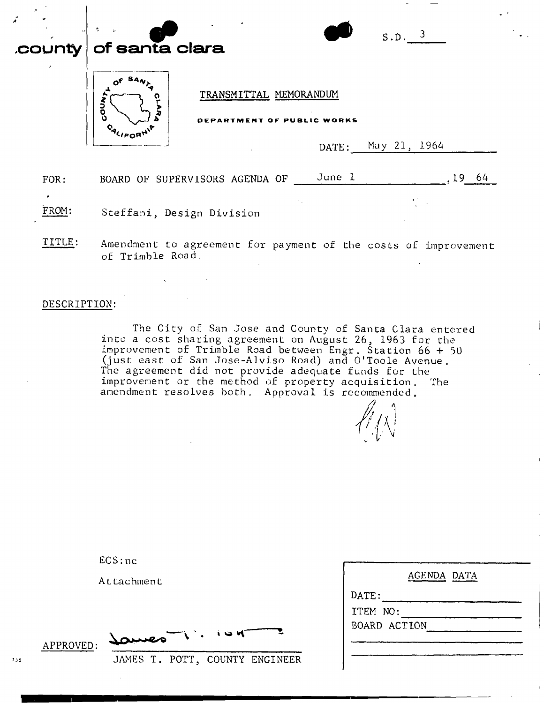|           | county $\mid$ of santa clara                              | S.D.                  |
|-----------|-----------------------------------------------------------|-----------------------|
|           | TRANSMITTAL MEMORANDUM<br>٥<br>DEPARTMENT OF PUBLIC WORKS | May 21, 1964<br>DATE: |
| FOR:<br>٠ | BOARD OF SUPERVISORS AGENDA OF                            | June 1<br>19 64       |

FROM: Steffani, Design Division

TITLE: Amendment to agreement for payment of the costs of improvement of Trimble Road.

### DESCRIPTION:

The City of San Jose and County of Santa Clara entered into a cost sharing agreement on August 26, 1963 for the improvement of Trimble Road between Engr. Station 66 + 50 (just east of San Jose-Alviso Road) and O'Toole Avenue. The agreement did not provide adequate funds for the improvement or the method of property acquisition . The amendment resolves both. Approval is recommended.

|  |           | ECS:nc                         |              |
|--|-----------|--------------------------------|--------------|
|  |           | Attachment                     | AGENDA DATA  |
|  |           |                                | DATE:        |
|  |           |                                | ITEM NO:     |
|  |           |                                | BOARD ACTION |
|  | APPROVED: | James 1: 10M                   |              |
|  |           | JAMES T. POTT, COUNTY ENGINEER |              |
|  |           |                                |              |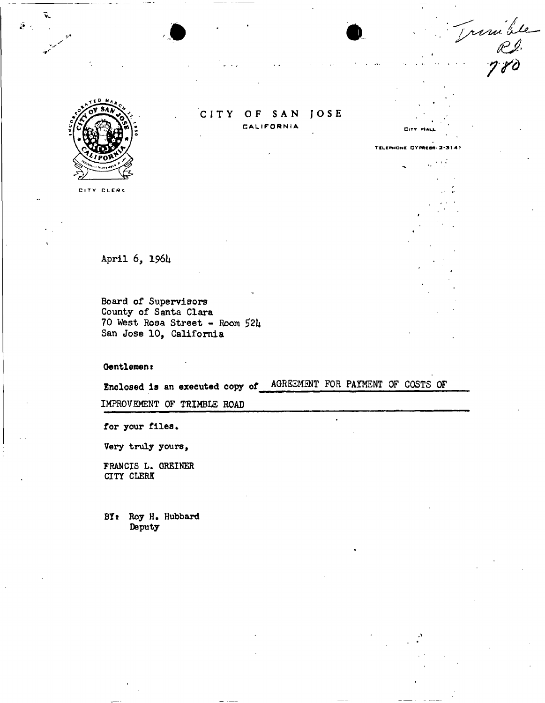

 $\hat{\mathbf{v}}$ 

 $\widehat{D}$ 

CITY CLERK

CITY OF SAN JOSE CALIFORNIA

**TELEPHONE CY** 

*ffd* 

April 6, 1964

Board of Supervisors County of Santa Clara  $70$  West Rosa Street - Room  $52\mu$ San Jose 10, California

Oentlemenr

Enclosed ia an executed copy of AGREEMENT FOR PAYMENT OF COSTS OF

IMPROVEMENT OF TRIMBLE ROAD

for your files.

Very truly yours,

FRANCIS L. QREINER CITY CLERK

BYt Roy H. Hubbard Deputy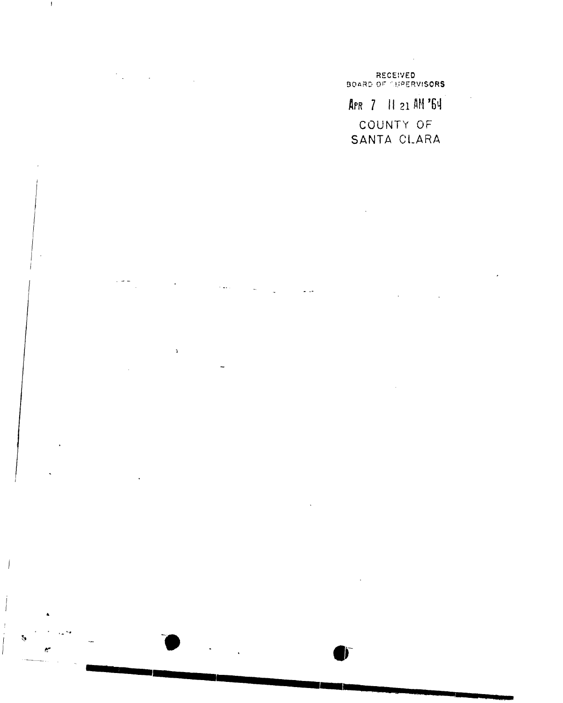$\mathcal{L}^{\text{max}}_{\text{max}}$ 

 $\mathbf{r}$ 

 $\mathbf{I}$ 

**RECEIVED**<br>BOARD OF CUPERVISORS

APR 7 11 21 AM '64 COUNTY OF

SANTA CLARA

244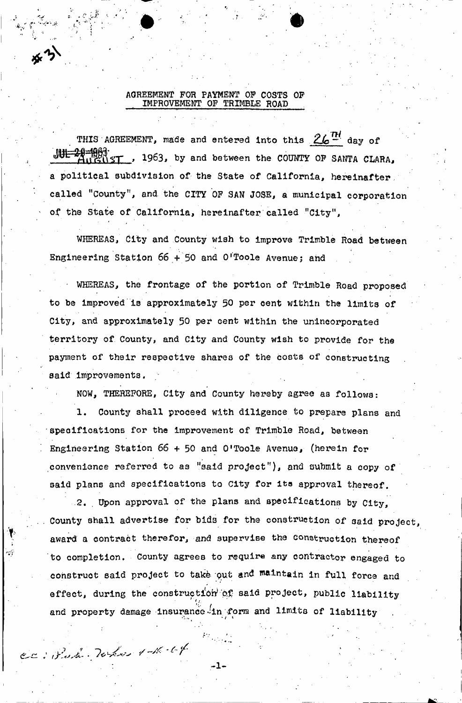#### AGREEMENT FOR PAYMENT OP COSTS OP IMPROVEMENT OP TRIMBLE ROAD

 $\blacksquare$ THIS AGREEMENT, made and entered into this *2Jc* day of  $JU = 24 - 1963$ , by and between the COUNTY OF SANTA CLARA, a political subdivision of the State of California, hereinafter, called "County", and the CITY OF SAN JOSE, a municipal corporation of the State of California, hereinafter called "City",

WHEREAS, City and County Wish to improve Trimble Road between Engineering Station  $66 + 50$  and O'Toole Avenue; and

WHEREAS, the frontage of the portion of Trimble Road proposed to be improved is approximately 50 per cent within the limits of City, and approximately 50 per oent within the unincorporated territory of County, and City and County wish to provide for the payment of their respective shares of the costs of constructing said improvements.

NOW, THEREFORE, City and County hereby agree as follows:

1. County shall proceed with diligence to prepare plans and specifications for the improvement of Trimble Road, between Engineering Station  $66 + 50$  and O'Toole Avenue, (herein for convenience referred to as "said project"), and submit a copy of said plans and specifications to City for its approval thereof.

2. Upon approval of the plans and specifications by City, County shall advertise for bids for the construction of said project, award a contract therefor, and supervise the construction thereof to completion. County agrees to require any contractor engaged to construct said project to take out and maintain in full force and effect, during the construction of said project, public liability and property damage insurance in form and limits of liability

 $-1-$ 

E.C. Bush. Nohes 1-16-64

iv. ' - ' ' \*

 $\mathcal{L} \left( \mathcal{L} \right) = \mathcal{L} \left( \mathcal{L} \right) = \mathcal{L} \left( \mathcal{L} \right) = \mathcal{L} \left( \mathcal{L} \right) = \mathcal{L} \left( \mathcal{L} \right) = \mathcal{L} \left( \mathcal{L} \right) = \mathcal{L} \left( \mathcal{L} \right) = \mathcal{L} \left( \mathcal{L} \right) = \mathcal{L} \left( \mathcal{L} \right) = \mathcal{L} \left( \mathcal{L} \right) = \mathcal{L} \left( \mathcal{L} \right) = \mathcal{L} \left( \math$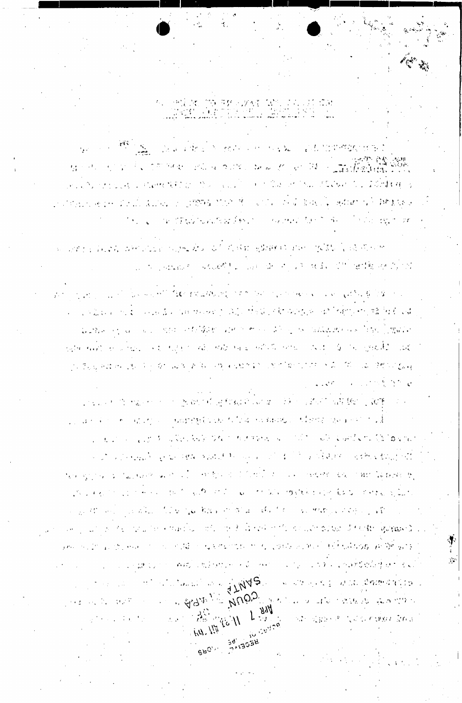and the same property of the same of the same of the same of the same of the same of the same of the same of the same of the same of the same of the same of the same of the same of the same of the same of the same of the s more than the comment and a part of the second state of the community In 1970, we say that the result of the same in the second state of the state of  $\mathbb{R}^2$  . The final  $\mathbb{R}^2$ on a through compared of the condition of the state of the state of the second of the state of the commentation of the state of the commentation of the commentation

าย เอาสาธาระวังและพิมาณิติศาสตร์และอาจจะอุดิช เจ้ามา เอาจี้ เท้าหัวหลัง พระเพิ่มหัสตัว เท้าหา (เท้าอุดิชัย) ไร อดัวเจ้าเจ้ายาก as the community of the contribution of the state of the contribution of the

on pay a company of the standard of the target services of the standard and the standard of the service of the a sa partida a marka sa da da tana tana ta sa sa sa ta sa gaban da tsa sa ta ta ta ta ta ta ta ta ta ta ta ta มันใช้ครับรูปครั้งและเกิด พ.ศ. 2512 ใช้มีชาวได้ทำกับชาวเราได้กับถูกเขา ในผันนั้นเป็นการครั้งเรียวก็ไม่ให้เด็กท agter east an origin is a letter of state such estate entire and a life of the generation and 的复数电子设计 医电影 化五乙酸乙酸医乙酸 网络海底地黄金 医抗肉瘤性的 地名美国英国地名美国捷尔德勒姆 的复数形式 医血管性 医下垂

and a continuation of the property of the property and the same of the same of the same of the same  $\mathcal{L}_1$  , and if the contract  $\mathcal{L}_2$  , as a matrix for the function of the state of the state of the  $\mathcal{E}$ a constitution of the Carolina of the content with the constitution of the party ารายการเปรียบของไป เมื่อมาให้ หลัง เดือนมีประสบการเกิด เป็น ไป ได้ ไป ไม่ใช่ สีเด็กที่ และ ที่ที่เจะช่วยเป็นที the special of the construction of the control of the first control or second home that Note 2013. The property of the same that the set of the same of the same of the same facts in the same spite a security and consideration of the open that is a state of the constitution of the security of the and some the analysis of the fact of the first state of the sound states of the Remains of The comments of a specialist of a control of motivations in the girls  $\label{eq:3.1} \rho(\mathbf{r}(\mathbf{r})) = \left\{ \mathbf{r} \in \mathbb{R}^n \mid \mathbf{r} \in \mathbb{R}^n, \mathbf{r} \in \mathbb{R}^n, \mathbf{r} \right\}$ mit consideration of the company of the constitution of C  $\label{eq:2.1} \mathcal{L}=\mathcal{L}(\mathcal{L}^{\text{max}}_{\mathcal{L}^{\text{max}}_{\mathcal{L}^{\text{max}}_{\mathcal{L}^{\text{max}}_{\mathcal{L}^{\text{max}}_{\mathcal{L}^{\text{max}}_{\mathcal{L}^{\text{max}}_{\mathcal{L}^{\text{max}}_{\mathcal{L}^{\text{max}}_{\mathcal{L}^{\text{max}}_{\mathcal{L}^{\text{max}}_{\mathcal{L}^{\text{max}}_{\mathcal{L}^{\text{max}}_{\mathcal{L}^{\text{max}}_{\mathcal{L}^{\text{max}}_{\mathcal{$ Maria Maria La Company de la California de la California  $\mathcal{L}_{\text{max}}$  and  $\mathcal{L}_{\text{max}}$ Advis Noop ger i de la carte l'exista del quer notre l  $\sim 10^{10}$  $\mathcal{L}_{\text{max}}$  ,  $\mathcal{L}_{\text{max}}$ Mary 11 and 11 and 11 and 11 and San Raphy & Color Harry Brea Service Committee

SBOING 30 1903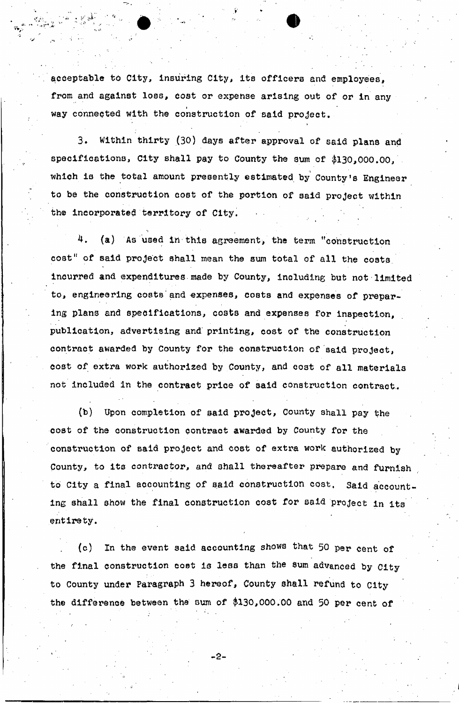acceptable to City, insuring City, Its officers and employees, from and against loss, cost or expense arising out of or in any way connected with the construction of said project.

Within thirty (30) days after approval of said plans and  $3.$ specifications, City shall pay to County the sum of \$130,000.00, which is the total amount presently estimated by County's Engineer to be the construction cost of the portion of said project within the incorporated territory of City.

the incorporated territory of City.

 $4.$  (a) As used in this agreement, the term "construction cost" of said project shall mean the sum total of all the coats incurred and expenditures.made by County, including but not limited to, engineering costs'and expenses, costs and expenses of preparing plans and specifications, costs and expenses for inspection, publication, advertising and printing, cost of the construction contract awarded by County for the construction of said project, cost of extra work authorized by County, and cost of all materials not included in the contract price of said construction contract.

(b) Upon completion of said project, County shall pay the cost of the construction contract awarded by County for the construction of said project and cost of extra work authorized by County, to its contractor, and shall thereafter prepare and furnish to City a final accounting of said construction cost. Said accounting shall show the final construction cost for said project in its entirety.

(c) In the event said accounting shows that 50 per cent of the final construction cost is less than the sum advanced by City to County under Paragraph 3 hereof, County shall refund to City the difference between the sum of \$130,000.00 and 50 per cent of

-2-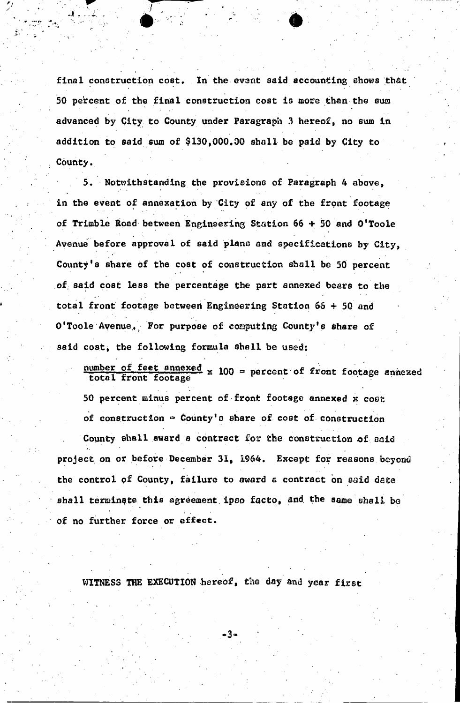final construction cost. In the event said accounting shows that 50 percent of the final construction cost Is more than the sum advanced by City to County under Paragraph 3 hereof, no sum in addition to said sum of \$130,000.00 shall be paid by City to County.

5. Notwithstanding the provisions of Paragraph 4 above, in the event of annexation by City of any of the front footage of Trimble Road between Engineering Station 66 + 50 and O'Toole Avenue before approval of said plans and specifications by City, County's share of the cost of construction shall be 50 percent of, said cost less the percentage the part annexed bears to the total front footage between Engineering Station 66 + 50 and O'Toole Avenue, For purpose of computing County's share of said cost, the following formula shell be used:

number of feet annexed  $K \times 100$   $\Rightarrow$  percent of front footage annexed total front footage " " " percent of front footage

50 percent minus percent of front footage annexed x cost of construction  $\in$  County's share of cost of construction County shall award a contract for the construction of said project on or before December 31, 1964. Except for reasons beyond the control pf County, failure to award a contract on said date shall terminate this agreement ipso facto, and the same shall be of no further force or effect.

WITNESS THE EXECUTION hereof, the day and year first

-3.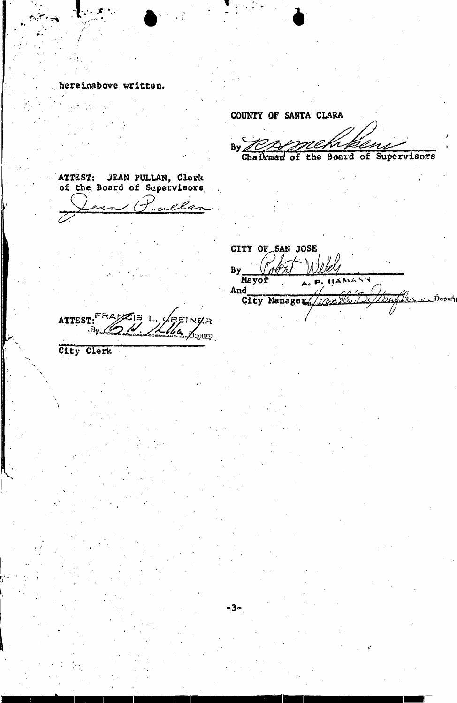hereinabove written.

COUNTY OF SANTA CLARA  $Bv$ 

the Board of Supervisors Chairman of

ATTEST: JEAN PULLAN, Clerk<br>of the Board of Supervisors

elan

CITY OF SAN JOSE By Mayor HANANN And ل<sup>ا</sup>لتحميد City Manager r com

ATTEST: FRASEIS .<br>Beingr  $1...$   $G$  $\partial_{y}$ **ASBEED** 

-3-

City Clerk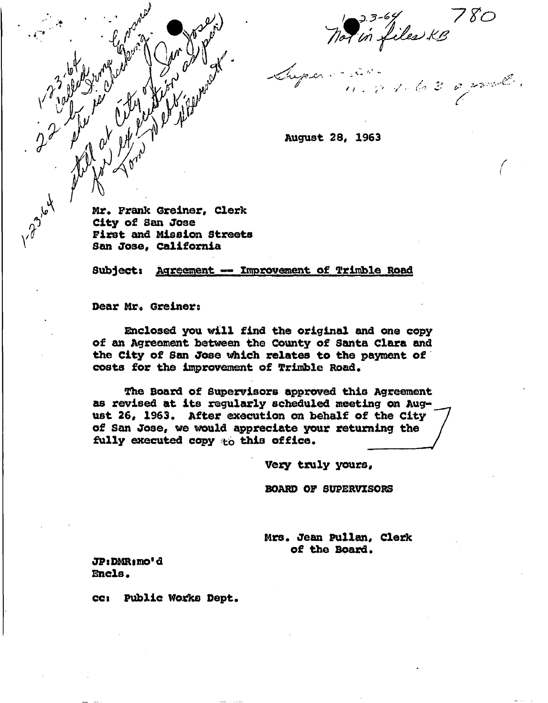*' fi ' 4* 

Euper Aller

**August 28, 1963** 

**Mr. Frank Greiner, Clerk City of San Joae First and Mission Streets Son Jose, California** 

Subject: Agreement -- Improvement of Trimble Road

**Dear Mr. Greiner:** 

**Enclosed you will find the original and one copy of an Agreement between the County of Santa Clara and the city of San Jose which relates to the payment of**  costs for the improvement of Trimble Road.

**The Board of Supervisors approved this Agreement as revised at its regularly scheduled meeting on August 26, 1963. After execution on behalf of the City of San Jose, we would appreciate your returning the**  fully executed copy  $\pm$ o this office.

**Very truly yours,** 

**BOARD OF SUPERVISORS** 

Mrs. Jean Pullan, Clerk **of the Board.** 

**JPsDMRtmo'd**  Encls.

**cct Public Works Dept**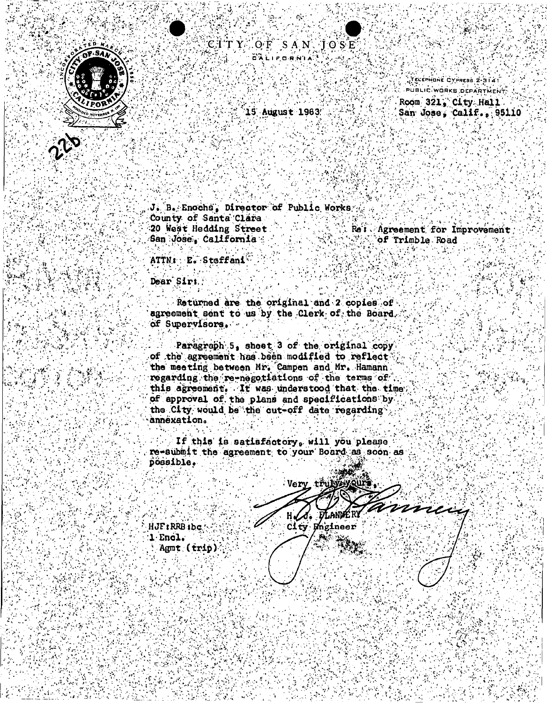



TELÉPHONE CYPRESS 2-3 I41

15 August 1963.

PUBLIC WORKS DEPARTMENT Room 321, City Hall San Jose, Calif., 95110

J. B. Enochs, Director of Public Works County of Santa Clara 20 West Hedding Street San Jose, California

Rei Agreement for Improvement of Trimble Road

ATTN: E. Steffani

Dear Sirt.

Returned are the original and 2 copies of agreement sent to us by the Clerk of the Board. of Supervisors.

Paragraph 5, sheet 3 of the original copy of the agreement has been modified to reflect the meeting between Mr. Campen and Mr. Hamann. regarding the re-negotiations of the terms of this agreement. It was understood that the time of approval of the plans and specifications by the City would be the cut-off date regarding. annexation.

If this is satisfactory, will you please re-submit the agreement to your Board as soon as possible.

Very truly y H. d. PLANDER City Engineer

HJF:RRB:bc 1 Encl. Agmt (trip)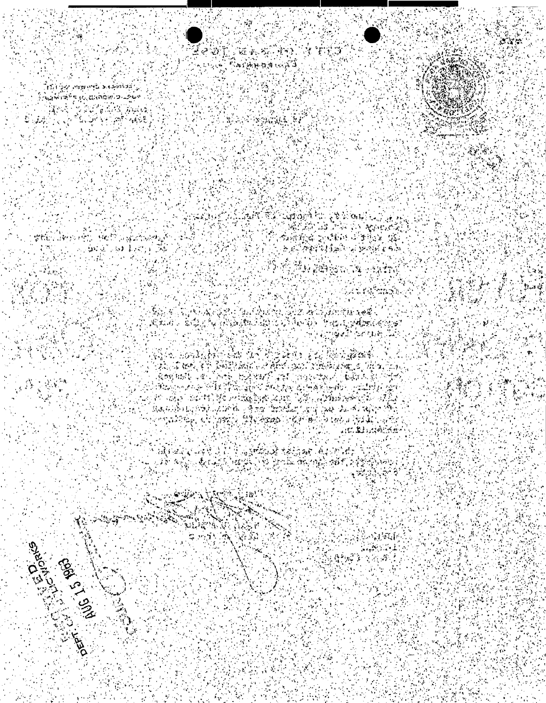## BRYZ WARRAND TRO ત દઈ<sub>ક</sub>્ચે <sup>પ્</sup>રેસ્ટ ફોર્સ્ટ્સ ફર્સ દર્શ્*લ* કે

ી દેશે ઉત્તર અનુસારમાં આવશેરો પ્રદેશ ကြည့်နှစ်တစ် ရေပါင်းကြသော အသင်မှု ၈ -

i katil k

An Thursday in Arguest 1993. Matations in the Companions SAME SHEEH PEAR OF MAR SPORTS PART SANDARY 1. 人名拉尔纳韦约克 مؤه ۽ اباضي بي اليو ابالابالابالي ٿي Ma 2243 sa ta gantin

in a following is **TEATLER** 

ລາກ. **ຊິ**ປິດເຮືອໃຫ້ເຂົ

ज के मु

电地球 减弱数小器 8. VI TEN i Arawa ENGLAND 全台的路径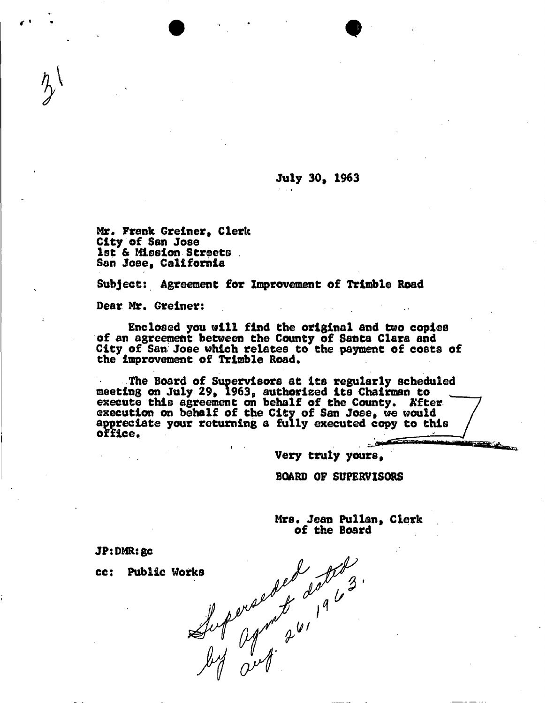#### July 30, 1963

Mr. Frank Greiner, Clerk City of San Jose 1st & Mission Streets San Jose, California

Subject: Agreement for Improvement of Trimble Road

**• ' •** 

Dear Mr, Grelner:

Enclosed you will find the original and two copies of an agreement between the County of Santa Clara and City of San Jose which relates to the payment of costs of the Improvement of Trimble Road.

The Board of Supervisors at its regularly scheduled meeting on July 29, 1963, authorized its Chairman to execute this agreement on behalf of the County. After  $\overline{\phantom{a}}$ execution on behalf of the City of San Jose, we would  $/$ appreciate your returning a fully executed copy to this office. office • • *J*   $\frac{1}{\left(\frac{1}{\sqrt{2}}\right)^{2}}$  . The set of  $\frac{1}{\left(\frac{1}{\sqrt{2}}\right)^{2}}$  ,  $\frac{1}{\left(\frac{1}{\sqrt{2}}\right)^{2}}$  ,  $\frac{1}{\left(\frac{1}{\sqrt{2}}\right)^{2}}$  ,  $\frac{1}{\left(\frac{1}{\sqrt{2}}\right)^{2}}$  ,  $\frac{1}{\left(\frac{1}{\sqrt{2}}\right)^{2}}$  ,  $\frac{1}{\left(\frac{1}{\sqrt{2}}\right)^{2}}$  ,  $\frac{1}{\left(\frac{1}{\$ 

Very truly yours,

BOARD OF SUPERVISORS

Mrs. Jean Pullan, Clerk or<br>Superseded dated 3.<br>Supersed 261 9 63.

JP: DMR: RC

cc: Public Works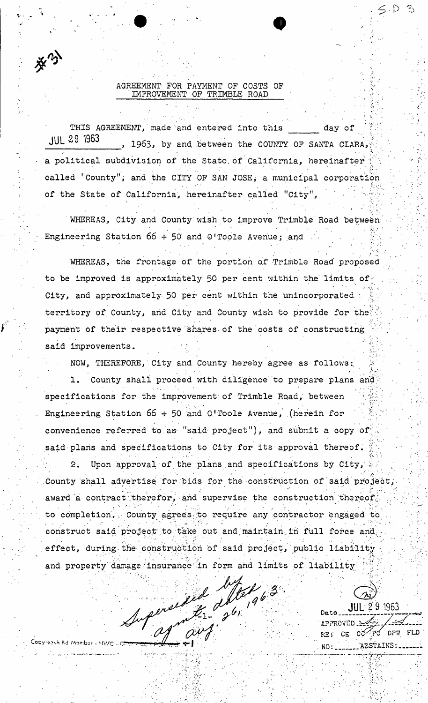#### AGREEMENT FOR PAYMENT OP COSTS OP IMPROVEMENT OP TRIMBLE ROAD

THIS AGREEMENT, made and entered into this JUL 29 1963 day of , 1963, by and between the COUNTY OF SANTA CLARA, a political subdivision of the State of California, hereinafter called "County", and the CITY OP SAN JOSE, a municipal corporation / of the State of California, hereinafter called "City",

WHEREAS, City and County wish to improve Trimble Road between Engineering Station  $66 + 50$  and O'Toole Avenue; and

WHEREAS, the frontage of the portion of Trimble Road proposed to be improved is approximately 50 per cent within the limits of City, and approximately 50 per cent within the unincorporated : territory of County, and City and County wish to provide for the? payment of their respective shares of the costs of constructing said improvements.

NOW, THEREFORE, City and County hereby agree as follows:

1. County shall proceed with diligence to prepare plans and specifications for the improvement of Trimble Road, between Engineering Station 66 + 50 and O'Toole Avenue, (herein for convenience referred to as "said project"), and submit a copy of said-plans and specifications to City for its approval thereof.

2. Upon approval of the plans and specifications by City, .County shall advertise for bids for the construction of said project, award a contract therefor, and supervise the construction thereof to completion. County agrees to require any contractor engaged to construct said project to take out and maintain in full force and. effect, during the construction of said project, public liability and property damage insurance in form and limits of liability

Lupenst of word of word 10 1968

**JUL 29 1963** APPROVED 2222  $R = \frac{R}{R}$ RE j C2 DP'tf FLO NOSTAINS: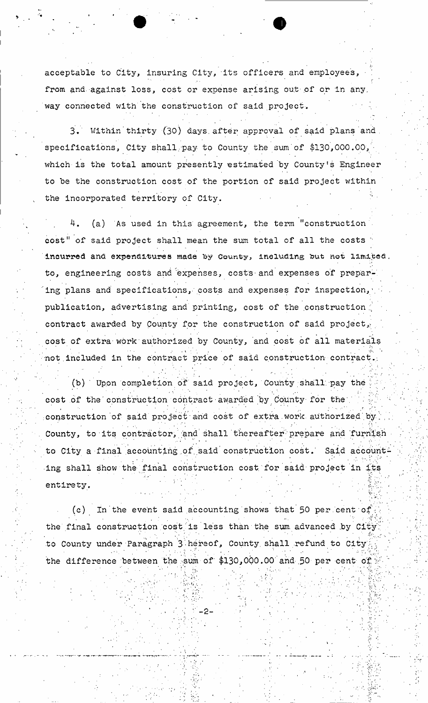acceptable to City, insuring City, its officers and employees, from and.against loss, cost or expense arising out of or In any, way connected with the construction of said project.

3. Within thirty (30) days after approval of said plans and specifications, City shall pay to County the sum of \$130,000.00, which is the total amount presently estimated by County's Engineer to be the construction cost of the portion of said project within the incorporated territory of City.

(a) As used in this agreement, the term "construction" cost" of said project shall mean the sum total of all the costs " incurred and expenditures made by County, including but not limited. to, engineering costs and expenses, costs-and expenses of preparing plans and specifications, costs and expenses for inspection, publication, advertising and printing, cost of the construction contract awarded by County for the construction of said project, cost of extra-work'authorized by County, and cost of all materials •not.included in the contract price of said construction contract..

Upon completion of said project, County shall pay the cost of the construction contract awarded by County for the construction of said project and cost of extra work authorized by County, to its contractor, and shall thereafter prepare and furnish to City a final accounting of said construction cost. Said accounting shall show the final construction cost for said project in its entirety.

(c) In the event said accounting shows that 50 per cent of the final construction cost is less than the sum advanced by City to County under Paragraph 3 hereof, County shall refund to City the difference between the sum of  $$130,000.00$  and 50 per cent of